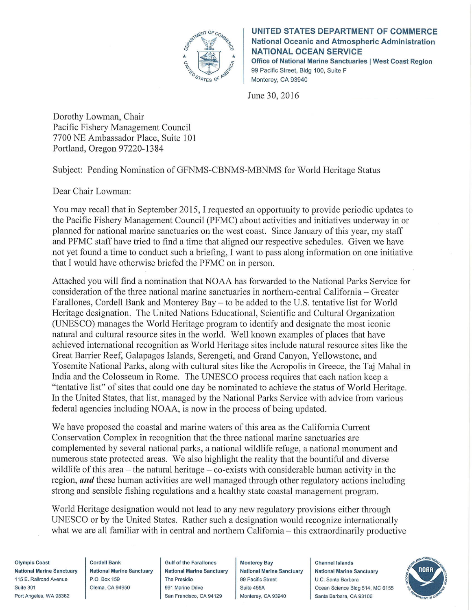

**Informational Report 1** September 2016 **UNITED STATES DEPARTMENT OF COMMERCE** National Oceanic and Atmospheric Administration **NATIONAL OCEAN SERVICE** Office of National Marine Sanctuaries | West Coast Region 99 Pacific Street, Bldg 100, Suite F Monterey, CA 93940

June 30, 2016

Dorothy Lowman, Chair Pacific Fishery Management Council 7700 NE Ambassador Place, Suite 101 Portland, Oregon 97220-1384

Subject: Pending Nomination of GFNMS-CBNMS-MBNMS for World Heritage Status

Dear Chair Lowman:

You may recall that in September 2015, I requested an opportunity to provide periodic updates to the Pacific Fishery Management Council (PFMC) about activities and initiatives underway in or planned for national marine sanctuaries on the west coast. Since January of this year, my staff and PFMC staff have tried to find a time that aligned our respective schedules. Given we have not yet found a time to conduct such a briefing, I want to pass along information on one initiative that I would have otherwise briefed the PFMC on in person.

Attached you will find a nomination that NOAA has forwarded to the National Parks Service for consideration of the three national marine sanctuaries in northern-central California – Greater Farallones, Cordell Bank and Monterey Bay – to be added to the U.S. tentative list for World Heritage designation. The United Nations Educational, Scientific and Cultural Organization (UNESCO) manages the World Heritage program to identify and designate the most iconic natural and cultural resource sites in the world. Well known examples of places that have achieved international recognition as World Heritage sites include natural resource sites like the Great Barrier Reef, Galapagos Islands, Serengeti, and Grand Canyon, Yellowstone, and Yosemite National Parks, along with cultural sites like the Acropolis in Greece, the Taj Mahal in India and the Colosseum in Rome. The UNESCO process requires that each nation keep a "tentative list" of sites that could one day be nominated to achieve the status of World Heritage. In the United States, that list, managed by the National Parks Service with advice from various federal agencies including NOAA, is now in the process of being updated.

We have proposed the coastal and marine waters of this area as the California Current Conservation Complex in recognition that the three national marine sanctuaries are complemented by several national parks, a national wildlife refuge, a national monument and numerous state protected areas. We also highlight the reality that the bountiful and diverse wildlife of this area  $-$  the natural heritage  $-$  co-exists with considerable human activity in the region, *and* these human activities are well managed through other regulatory actions including strong and sensible fishing regulations and a healthy state coastal management program.

World Heritage designation would not lead to any new regulatory provisions either through UNESCO or by the United States. Rather such a designation would recognize internationally what we are all familiar with in central and northern California – this extraordinarily productive

Olympic Coast **National Marine Sanctuary** 115 E. Railroad Avenue Suite 301 Port Angeles, WA 98362

**Cordell Bank National Marine Sanctuary** P.O. Box 159 Olema, CA 94950

**Gulf of the Farallones National Marine Sanctuary The Presidio** 991 Marine Drive San Francisco, CA 94129

**Monterey Bay National Marine Sanctuary** 99 Pacific Street Suite 455A Monterey, CA 93940

Channel Islands **National Marine Sanctuary** U.C. Santa Barbara Ocean Science Bldg 514, MC 6155 Santa Barbara, CA 93106

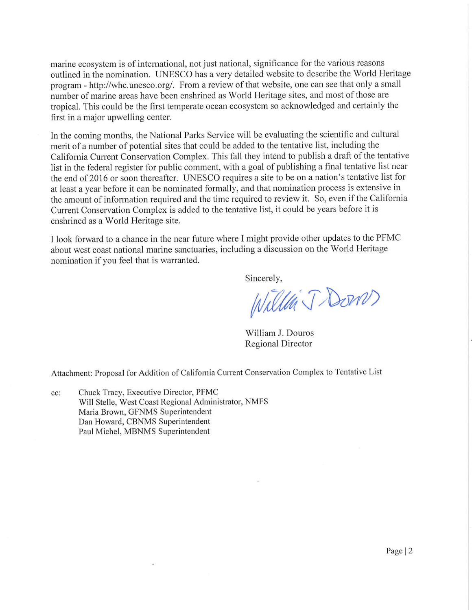marine ecosystem is of international, not just national, significance for the various reasons outlined in the nomination. UNESCO has a very detailed website to describe the World Heritage program - http://whc.unesco.org/. From a review of that website, one can see that only a small number of marine areas have been enshrined as World Heritage sites, and most of those are tropical. This could be the first temperate ocean ecosystem so acknowledged and certainly the first in a major upwelling center.

In the coming months, the National Parks Service will be evaluating the scientific and cultural merit of a number of potential sites that could be added to the tentative list, including the California Current Conservation Complex. This fall they intend to publish a draft of the tentative list in the federal register for public comment, with a goal of publishing a final tentative list near the end of 2016 or soon thereafter. UNESCO requires a site to be on a nation's tentative list for at least a year before it can be nominated formally, and that nomination process is extensive in the amount of information required and the time required to review it. So, even if the California Current Conservation Complex is added to the tentative list, it could be years before it is enshrined as a World Heritage site.

I look forward to a chance in the near future where I might provide other updates to the PFMC about west coast national marine sanctuaries, including a discussion on the World Heritage nomination if you feel that is warranted.

Sincerely,

Willen J Down

William J. Douros **Regional Director** 

Attachment: Proposal for Addition of California Current Conservation Complex to Tentative List

Chuck Tracy, Executive Director, PFMC cc: Will Stelle, West Coast Regional Administrator, NMFS Maria Brown, GFNMS Superintendent Dan Howard, CBNMS Superintendent Paul Michel, MBNMS Superintendent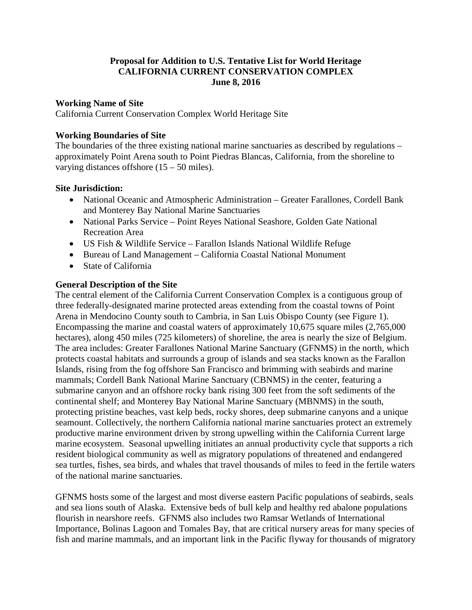# **Proposal for Addition to U.S. Tentative List for World Heritage CALIFORNIA CURRENT CONSERVATION COMPLEX June 8, 2016**

#### **Working Name of Site**

California Current Conservation Complex World Heritage Site

#### **Working Boundaries of Site**

The boundaries of the three existing national marine sanctuaries as described by regulations – approximately Point Arena south to Point Piedras Blancas, California, from the shoreline to varying distances offshore (15 – 50 miles).

#### **Site Jurisdiction:**

- National Oceanic and Atmospheric Administration Greater Farallones, Cordell Bank and Monterey Bay National Marine Sanctuaries
- National Parks Service Point Reyes National Seashore, Golden Gate National Recreation Area
- US Fish & Wildlife Service Farallon Islands National Wildlife Refuge
- Bureau of Land Management California Coastal National Monument
- State of California

#### **General Description of the Site**

The central element of the California Current Conservation Complex is a contiguous group of three federally-designated marine protected areas extending from the coastal towns of Point Arena in Mendocino County south to Cambria, in San Luis Obispo County (see Figure 1). Encompassing the marine and coastal waters of approximately 10,675 square miles (2,765,000 hectares), along 450 miles (725 kilometers) of shoreline, the area is nearly the size of Belgium. The area includes: Greater Farallones National Marine Sanctuary (GFNMS) in the north, which protects coastal habitats and surrounds a group of islands and sea stacks known as the Farallon Islands, rising from the fog offshore San Francisco and brimming with seabirds and marine mammals; Cordell Bank National Marine Sanctuary (CBNMS) in the center, featuring a submarine canyon and an offshore rocky bank rising 300 feet from the soft sediments of the continental shelf; and Monterey Bay National Marine Sanctuary (MBNMS) in the south, protecting pristine beaches, vast kelp beds, rocky shores, deep submarine canyons and a unique seamount. Collectively, the northern California national marine sanctuaries protect an extremely productive marine environment driven by strong upwelling within the California Current large marine ecosystem. Seasonal upwelling initiates an annual productivity cycle that supports a rich resident biological community as well as migratory populations of threatened and endangered sea turtles, fishes, sea birds, and whales that travel thousands of miles to feed in the fertile waters of the national marine sanctuaries.

GFNMS hosts some of the largest and most diverse eastern Pacific populations of seabirds, seals and sea lions south of Alaska. Extensive beds of bull kelp and healthy red abalone populations flourish in nearshore reefs. GFNMS also includes two Ramsar Wetlands of International Importance, Bolinas Lagoon and Tomales Bay, that are critical nursery areas for many species of fish and marine mammals, and an important link in the Pacific flyway for thousands of migratory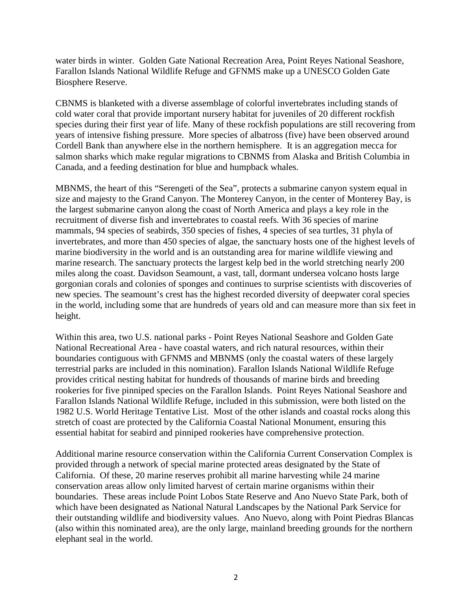water birds in winter. Golden Gate National Recreation Area, Point Reyes National Seashore, Farallon Islands National Wildlife Refuge and GFNMS make up a UNESCO Golden Gate Biosphere Reserve.

CBNMS is blanketed with a diverse assemblage of colorful invertebrates including stands of cold water coral that provide important nursery habitat for juveniles of 20 different rockfish species during their first year of life. Many of these rockfish populations are still recovering from years of intensive fishing pressure. More species of albatross (five) have been observed around Cordell Bank than anywhere else in the northern hemisphere. It is an aggregation mecca for salmon sharks which make regular migrations to CBNMS from Alaska and British Columbia in Canada, and a feeding destination for blue and humpback whales.

MBNMS, the heart of this "Serengeti of the Sea", protects a submarine canyon system equal in size and majesty to the Grand Canyon. The Monterey Canyon, in the center of Monterey Bay, is the largest submarine canyon along the coast of North America and plays a key role in the recruitment of diverse fish and invertebrates to coastal reefs. With 36 species of marine mammals, 94 species of seabirds, 350 species of fishes, 4 species of sea turtles, 31 phyla of invertebrates, and more than 450 species of algae, the sanctuary hosts one of the highest levels of marine biodiversity in the world and is an outstanding area for marine wildlife viewing and marine research. The sanctuary protects the largest kelp bed in the world stretching nearly 200 miles along the coast. Davidson Seamount, a vast, tall, dormant undersea volcano hosts large gorgonian corals and colonies of sponges and continues to surprise scientists with discoveries of new species. The seamount's crest has the highest recorded diversity of deepwater coral species in the world, including some that are hundreds of years old and can measure more than six feet in height.

Within this area, two U.S. national parks - Point Reyes National Seashore and Golden Gate National Recreational Area - have coastal waters, and rich natural resources, within their boundaries contiguous with GFNMS and MBNMS (only the coastal waters of these largely terrestrial parks are included in this nomination). Farallon Islands National Wildlife Refuge provides critical nesting habitat for hundreds of thousands of marine birds and breeding rookeries for five pinniped species on the Farallon Islands. Point Reyes National Seashore and Farallon Islands National Wildlife Refuge, included in this submission, were both listed on the 1982 U.S. World Heritage Tentative List. Most of the other islands and coastal rocks along this stretch of coast are protected by the California Coastal National Monument, ensuring this essential habitat for seabird and pinniped rookeries have comprehensive protection.

Additional marine resource conservation within the California Current Conservation Complex is provided through a network of special marine protected areas designated by the State of California. Of these, 20 marine reserves prohibit all marine harvesting while 24 marine conservation areas allow only limited harvest of certain marine organisms within their boundaries. These areas include Point Lobos State Reserve and Ano Nuevo State Park, both of which have been designated as National Natural Landscapes by the National Park Service for their outstanding wildlife and biodiversity values. Ano Nuevo, along with Point Piedras Blancas (also within this nominated area), are the only large, mainland breeding grounds for the northern elephant seal in the world.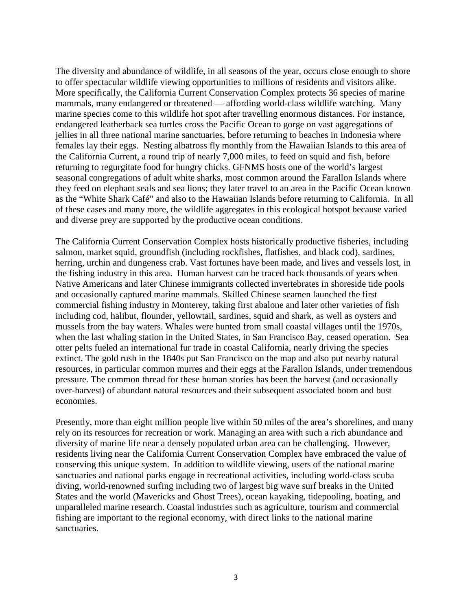The diversity and abundance of wildlife, in all seasons of the year, occurs close enough to shore to offer spectacular wildlife viewing opportunities to millions of residents and visitors alike. More specifically, the California Current Conservation Complex protects 36 species of marine mammals, many endangered or threatened — affording world-class wildlife watching. Many marine species come to this wildlife hot spot after travelling enormous distances. For instance, endangered leatherback sea turtles cross the Pacific Ocean to gorge on vast aggregations of jellies in all three national marine sanctuaries, before returning to beaches in Indonesia where females lay their eggs. Nesting albatross fly monthly from the Hawaiian Islands to this area of the California Current, a round trip of nearly 7,000 miles, to feed on squid and fish, before returning to regurgitate food for hungry chicks. GFNMS hosts one of the world's largest seasonal congregations of adult white sharks, most common around the Farallon Islands where they feed on elephant seals and sea lions; they later travel to an area in the Pacific Ocean known as the "White Shark Café" and also to the Hawaiian Islands before returning to California. In all of these cases and many more, the wildlife aggregates in this ecological hotspot because varied and diverse prey are supported by the productive ocean conditions.

The California Current Conservation Complex hosts historically productive fisheries, including salmon, market squid, groundfish (including rockfishes, flatfishes, and black cod), sardines, herring, urchin and dungeness crab. Vast fortunes have been made, and lives and vessels lost, in the fishing industry in this area. Human harvest can be traced back thousands of years when Native Americans and later Chinese immigrants collected invertebrates in shoreside tide pools and occasionally captured marine mammals. Skilled Chinese seamen launched the first commercial fishing industry in Monterey, taking first abalone and later other varieties of fish including cod, halibut, flounder, yellowtail, sardines, squid and shark, as well as oysters and mussels from the bay waters. Whales were hunted from small coastal villages until the 1970s, when the last whaling station in the United States, in San Francisco Bay, ceased operation. Sea otter pelts fueled an international fur trade in coastal California, nearly driving the species extinct. The gold rush in the 1840s put San Francisco on the map and also put nearby natural resources, in particular common murres and their eggs at the Farallon Islands, under tremendous pressure. The common thread for these human stories has been the harvest (and occasionally over-harvest) of abundant natural resources and their subsequent associated boom and bust economies.

Presently, more than eight million people live within 50 miles of the area's shorelines, and many rely on its resources for recreation or work. Managing an area with such a rich abundance and diversity of marine life near a densely populated urban area can be challenging. However, residents living near the California Current Conservation Complex have embraced the value of conserving this unique system. In addition to wildlife viewing, users of the national marine sanctuaries and national parks engage in recreational activities, including world-class scuba diving, world-renowned surfing including two of largest big wave surf breaks in the United States and the world (Mavericks and Ghost Trees), ocean kayaking, tidepooling, boating, and unparalleled marine research. Coastal industries such as agriculture, tourism and commercial fishing are important to the regional economy, with direct links to the national marine sanctuaries.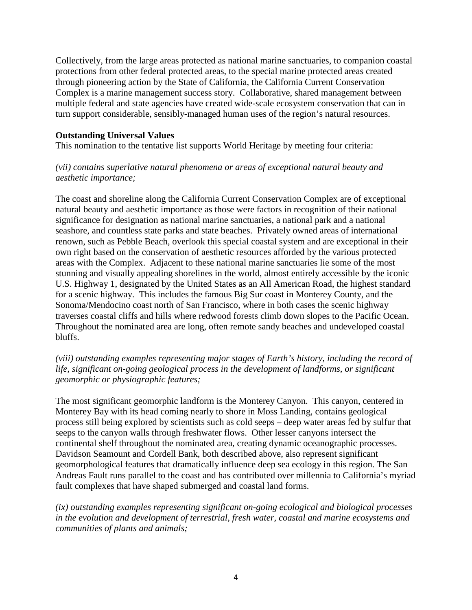Collectively, from the large areas protected as national marine sanctuaries, to companion coastal protections from other federal protected areas, to the special marine protected areas created through pioneering action by the State of California, the California Current Conservation Complex is a marine management success story. Collaborative, shared management between multiple federal and state agencies have created wide-scale ecosystem conservation that can in turn support considerable, sensibly-managed human uses of the region's natural resources.

#### **Outstanding Universal Values**

This nomination to the tentative list supports World Heritage by meeting four criteria:

### *(vii) contains superlative natural phenomena or areas of exceptional natural beauty and aesthetic importance;*

The coast and shoreline along the California Current Conservation Complex are of exceptional natural beauty and aesthetic importance as those were factors in recognition of their national significance for designation as national marine sanctuaries, a national park and a national seashore, and countless state parks and state beaches. Privately owned areas of international renown, such as Pebble Beach, overlook this special coastal system and are exceptional in their own right based on the conservation of aesthetic resources afforded by the various protected areas with the Complex. Adjacent to these national marine sanctuaries lie some of the most stunning and visually appealing shorelines in the world, almost entirely accessible by the iconic U.S. Highway 1, designated by the United States as an All American Road, the highest standard for a scenic highway. This includes the famous Big Sur coast in Monterey County, and the Sonoma/Mendocino coast north of San Francisco, where in both cases the scenic highway traverses coastal cliffs and hills where redwood forests climb down slopes to the Pacific Ocean. Throughout the nominated area are long, often remote sandy beaches and undeveloped coastal bluffs.

### *(viii) outstanding examples representing major stages of Earth's history, including the record of life, significant on-going geological process in the development of landforms, or significant geomorphic or physiographic features;*

The most significant geomorphic landform is the Monterey Canyon. This canyon, centered in Monterey Bay with its head coming nearly to shore in Moss Landing, contains geological process still being explored by scientists such as cold seeps – deep water areas fed by sulfur that seeps to the canyon walls through freshwater flows. Other lesser canyons intersect the continental shelf throughout the nominated area, creating dynamic oceanographic processes. Davidson Seamount and Cordell Bank, both described above, also represent significant geomorphological features that dramatically influence deep sea ecology in this region. The San Andreas Fault runs parallel to the coast and has contributed over millennia to California's myriad fault complexes that have shaped submerged and coastal land forms.

*(ix) outstanding examples representing significant on-going ecological and biological processes in the evolution and development of terrestrial, fresh water, coastal and marine ecosystems and communities of plants and animals;*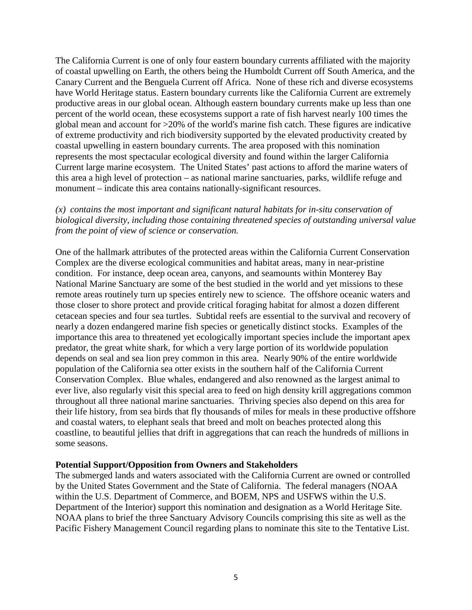The California Current is one of only four eastern boundary currents affiliated with the majority of coastal upwelling on Earth, the others being the Humboldt Current off South America, and the Canary Current and the Benguela Current off Africa. None of these rich and diverse ecosystems have World Heritage status. Eastern boundary currents like the California Current are extremely productive areas in our global ocean. Although eastern boundary currents make up less than one percent of the world ocean, these ecosystems support a rate of fish harvest nearly 100 times the global mean and account for >20% of the world's marine fish catch. These figures are indicative of extreme productivity and rich biodiversity supported by the elevated productivity created by coastal upwelling in eastern boundary currents. The area proposed with this nomination represents the most spectacular ecological diversity and found within the larger California Current large marine ecosystem. The United States' past actions to afford the marine waters of this area a high level of protection – as national marine sanctuaries, parks, wildlife refuge and monument – indicate this area contains nationally-significant resources.

#### *(x) contains the most important and significant natural habitats for in-situ conservation of biological diversity, including those containing threatened species of outstanding universal value from the point of view of science or conservation.*

One of the hallmark attributes of the protected areas within the California Current Conservation Complex are the diverse ecological communities and habitat areas, many in near-pristine condition. For instance, deep ocean area, canyons, and seamounts within Monterey Bay National Marine Sanctuary are some of the best studied in the world and yet missions to these remote areas routinely turn up species entirely new to science. The offshore oceanic waters and those closer to shore protect and provide critical foraging habitat for almost a dozen different cetacean species and four sea turtles. Subtidal reefs are essential to the survival and recovery of nearly a dozen endangered marine fish species or genetically distinct stocks. Examples of the importance this area to threatened yet ecologically important species include the important apex predator, the great white shark, for which a very large portion of its worldwide population depends on seal and sea lion prey common in this area. Nearly 90% of the entire worldwide population of the California sea otter exists in the southern half of the California Current Conservation Complex. Blue whales, endangered and also renowned as the largest animal to ever live, also regularly visit this special area to feed on high density krill aggregations common throughout all three national marine sanctuaries. Thriving species also depend on this area for their life history, from sea birds that fly thousands of miles for meals in these productive offshore and coastal waters, to elephant seals that breed and molt on beaches protected along this coastline, to beautiful jellies that drift in aggregations that can reach the hundreds of millions in some seasons.

#### **Potential Support/Opposition from Owners and Stakeholders**

The submerged lands and waters associated with the California Current are owned or controlled by the United States Government and the State of California. The federal managers (NOAA within the U.S. Department of Commerce, and BOEM, NPS and USFWS within the U.S. Department of the Interior) support this nomination and designation as a World Heritage Site. NOAA plans to brief the three Sanctuary Advisory Councils comprising this site as well as the Pacific Fishery Management Council regarding plans to nominate this site to the Tentative List.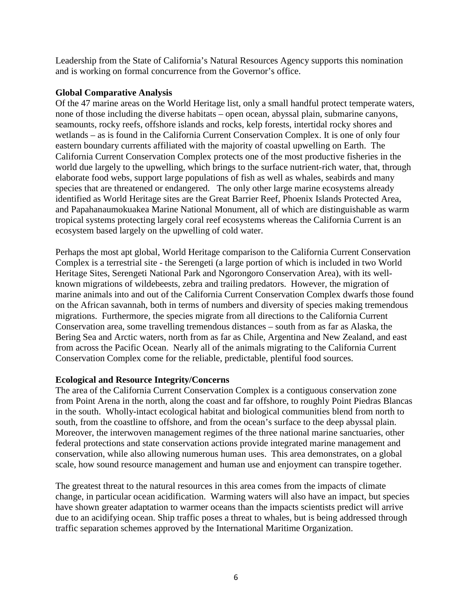Leadership from the State of California's Natural Resources Agency supports this nomination and is working on formal concurrence from the Governor's office.

#### **Global Comparative Analysis**

Of the 47 marine areas on the World Heritage list, only a small handful protect temperate waters, none of those including the diverse habitats – open ocean, abyssal plain, submarine canyons, seamounts, rocky reefs, offshore islands and rocks, kelp forests, intertidal rocky shores and wetlands – as is found in the California Current Conservation Complex. It is one of only four eastern boundary currents affiliated with the majority of coastal upwelling on Earth. The California Current Conservation Complex protects one of the most productive fisheries in the world due largely to the upwelling, which brings to the surface nutrient-rich water, that, through elaborate food webs, support large populations of fish as well as whales, seabirds and many species that are threatened or endangered. The only other large marine ecosystems already identified as World Heritage sites are the Great Barrier Reef, Phoenix Islands Protected Area, and Papahanaumokuakea Marine National Monument, all of which are distinguishable as warm tropical systems protecting largely coral reef ecosystems whereas the California Current is an ecosystem based largely on the upwelling of cold water.

Perhaps the most apt global, World Heritage comparison to the California Current Conservation Complex is a terrestrial site - the Serengeti (a large portion of which is included in two World Heritage Sites, Serengeti National Park and Ngorongoro Conservation Area), with its wellknown migrations of wildebeests, zebra and trailing predators. However, the migration of marine animals into and out of the California Current Conservation Complex dwarfs those found on the African savannah, both in terms of numbers and diversity of species making tremendous migrations. Furthermore, the species migrate from all directions to the California Current Conservation area, some travelling tremendous distances – south from as far as Alaska, the Bering Sea and Arctic waters, north from as far as Chile, Argentina and New Zealand, and east from across the Pacific Ocean. Nearly all of the animals migrating to the California Current Conservation Complex come for the reliable, predictable, plentiful food sources.

# **Ecological and Resource Integrity/Concerns**

The area of the California Current Conservation Complex is a contiguous conservation zone from Point Arena in the north, along the coast and far offshore, to roughly Point Piedras Blancas in the south. Wholly-intact ecological habitat and biological communities blend from north to south, from the coastline to offshore, and from the ocean's surface to the deep abyssal plain. Moreover, the interwoven management regimes of the three national marine sanctuaries, other federal protections and state conservation actions provide integrated marine management and conservation, while also allowing numerous human uses. This area demonstrates, on a global scale, how sound resource management and human use and enjoyment can transpire together.

The greatest threat to the natural resources in this area comes from the impacts of climate change, in particular ocean acidification. Warming waters will also have an impact, but species have shown greater adaptation to warmer oceans than the impacts scientists predict will arrive due to an acidifying ocean. Ship traffic poses a threat to whales, but is being addressed through traffic separation schemes approved by the International Maritime Organization.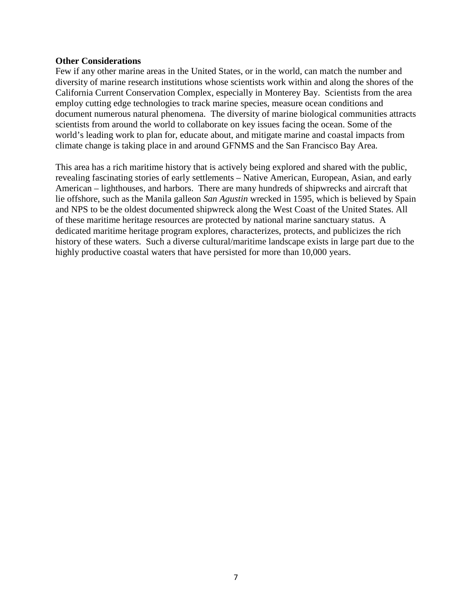#### **Other Considerations**

Few if any other marine areas in the United States, or in the world, can match the number and diversity of marine research institutions whose scientists work within and along the shores of the California Current Conservation Complex, especially in Monterey Bay. Scientists from the area employ cutting edge technologies to track marine species, measure ocean conditions and document numerous natural phenomena. The diversity of marine biological communities attracts scientists from around the world to collaborate on key issues facing the ocean. Some of the world's leading work to plan for, educate about, and mitigate marine and coastal impacts from climate change is taking place in and around GFNMS and the San Francisco Bay Area.

This area has a rich maritime history that is actively being explored and shared with the public, revealing fascinating stories of early settlements – Native American, European, Asian, and early American – lighthouses, and harbors. There are many hundreds of shipwrecks and aircraft that lie offshore, such as the Manila galleon *San Agustin* wrecked in 1595, which is believed by Spain and NPS to be the oldest documented shipwreck along the West Coast of the United States. All of these maritime heritage resources are protected by national marine sanctuary status. A dedicated maritime heritage program explores, characterizes, protects, and publicizes the rich history of these waters. Such a diverse cultural/maritime landscape exists in large part due to the highly productive coastal waters that have persisted for more than 10,000 years.